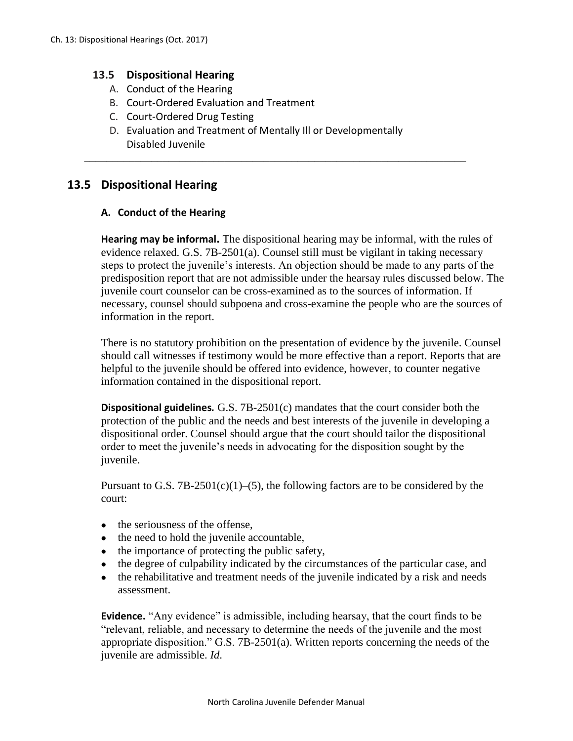# **13.5 Dispositional Hearing**

- A. Conduct of the Hearing
- B. Court-Ordered Evaluation and Treatment
- C. Court-Ordered Drug Testing
- D. Evaluation and Treatment of Mentally Ill or Developmentally Disabled Juvenile

\_\_\_\_\_\_\_\_\_\_\_\_\_\_\_\_\_\_\_\_\_\_\_\_\_\_\_\_\_\_\_\_\_\_\_\_\_\_\_\_\_\_\_\_\_\_\_\_\_\_\_\_\_\_\_\_\_\_\_\_\_\_\_\_\_\_\_\_

# **13.5 Dispositional Hearing**

## **A. Conduct of the Hearing**

**Hearing may be informal.** The dispositional hearing may be informal, with the rules of evidence relaxed. G.S. 7B-2501(a). Counsel still must be vigilant in taking necessary steps to protect the juvenile's interests. An objection should be made to any parts of the predisposition report that are not admissible under the hearsay rules discussed below. The juvenile court counselor can be cross-examined as to the sources of information. If necessary, counsel should subpoena and cross-examine the people who are the sources of information in the report.

There is no statutory prohibition on the presentation of evidence by the juvenile. Counsel should call witnesses if testimony would be more effective than a report. Reports that are helpful to the juvenile should be offered into evidence, however, to counter negative information contained in the dispositional report.

**Dispositional guidelines***.* G.S. 7B-2501(c) mandates that the court consider both the protection of the public and the needs and best interests of the juvenile in developing a dispositional order. Counsel should argue that the court should tailor the dispositional order to meet the juvenile's needs in advocating for the disposition sought by the juvenile.

Pursuant to G.S.  $7B-2501(c)(1)–(5)$ , the following factors are to be considered by the court:

- the seriousness of the offense,
- the need to hold the juvenile accountable,
- the importance of protecting the public safety,
- the degree of culpability indicated by the circumstances of the particular case, and
- the rehabilitative and treatment needs of the juvenile indicated by a risk and needs assessment.

**Evidence.** "Any evidence" is admissible, including hearsay, that the court finds to be "relevant, reliable, and necessary to determine the needs of the juvenile and the most appropriate disposition." G.S. 7B-2501(a). Written reports concerning the needs of the juvenile are admissible. *Id*.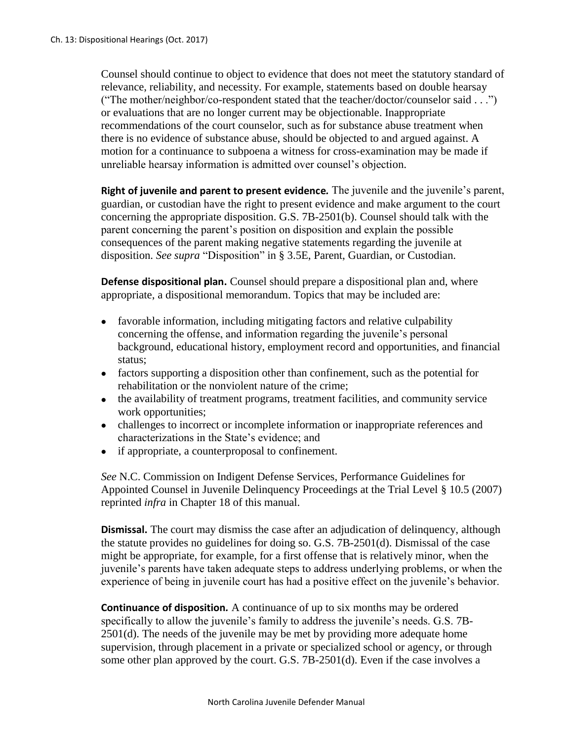Counsel should continue to object to evidence that does not meet the statutory standard of relevance, reliability, and necessity. For example, statements based on double hearsay ("The mother/neighbor/co-respondent stated that the teacher/doctor/counselor said . . .") or evaluations that are no longer current may be objectionable. Inappropriate recommendations of the court counselor, such as for substance abuse treatment when there is no evidence of substance abuse, should be objected to and argued against. A motion for a continuance to subpoena a witness for cross-examination may be made if unreliable hearsay information is admitted over counsel's objection.

**Right of juvenile and parent to present evidence***.* The juvenile and the juvenile's parent, guardian, or custodian have the right to present evidence and make argument to the court concerning the appropriate disposition. G.S. 7B-2501(b). Counsel should talk with the parent concerning the parent's position on disposition and explain the possible consequences of the parent making negative statements regarding the juvenile at disposition. *See supra* "Disposition" in § 3.5E, Parent, Guardian, or Custodian.

**Defense dispositional plan.** Counsel should prepare a dispositional plan and, where appropriate, a dispositional memorandum. Topics that may be included are:

- favorable information, including mitigating factors and relative culpability concerning the offense, and information regarding the juvenile's personal background, educational history, employment record and opportunities, and financial status;
- factors supporting a disposition other than confinement, such as the potential for rehabilitation or the nonviolent nature of the crime;
- the availability of treatment programs, treatment facilities, and community service work opportunities;
- challenges to incorrect or incomplete information or inappropriate references and characterizations in the State's evidence; and
- if appropriate, a counterproposal to confinement.

*See* N.C. Commission on Indigent Defense Services, Performance Guidelines for Appointed Counsel in Juvenile Delinquency Proceedings at the Trial Level § 10.5 (2007) reprinted *infra* in Chapter 18 of this manual.

**Dismissal.** The court may dismiss the case after an adjudication of delinquency, although the statute provides no guidelines for doing so. G.S. 7B-2501(d). Dismissal of the case might be appropriate, for example, for a first offense that is relatively minor, when the juvenile's parents have taken adequate steps to address underlying problems, or when the experience of being in juvenile court has had a positive effect on the juvenile's behavior.

**Continuance of disposition***.* A continuance of up to six months may be ordered specifically to allow the juvenile's family to address the juvenile's needs. G.S. 7B-2501(d). The needs of the juvenile may be met by providing more adequate home supervision, through placement in a private or specialized school or agency, or through some other plan approved by the court. G.S. 7B-2501(d). Even if the case involves a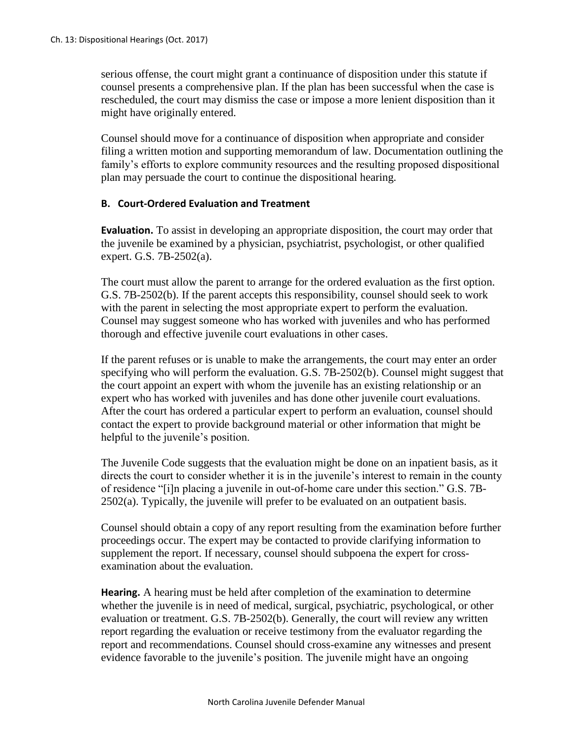serious offense, the court might grant a continuance of disposition under this statute if counsel presents a comprehensive plan. If the plan has been successful when the case is rescheduled, the court may dismiss the case or impose a more lenient disposition than it might have originally entered.

Counsel should move for a continuance of disposition when appropriate and consider filing a written motion and supporting memorandum of law. Documentation outlining the family's efforts to explore community resources and the resulting proposed dispositional plan may persuade the court to continue the dispositional hearing.

#### **B. Court-Ordered Evaluation and Treatment**

**Evaluation.** To assist in developing an appropriate disposition, the court may order that the juvenile be examined by a physician, psychiatrist, psychologist, or other qualified expert. G.S. 7B-2502(a).

The court must allow the parent to arrange for the ordered evaluation as the first option. G.S. 7B-2502(b). If the parent accepts this responsibility, counsel should seek to work with the parent in selecting the most appropriate expert to perform the evaluation. Counsel may suggest someone who has worked with juveniles and who has performed thorough and effective juvenile court evaluations in other cases.

If the parent refuses or is unable to make the arrangements, the court may enter an order specifying who will perform the evaluation. G.S. 7B-2502(b). Counsel might suggest that the court appoint an expert with whom the juvenile has an existing relationship or an expert who has worked with juveniles and has done other juvenile court evaluations. After the court has ordered a particular expert to perform an evaluation, counsel should contact the expert to provide background material or other information that might be helpful to the juvenile's position.

The Juvenile Code suggests that the evaluation might be done on an inpatient basis, as it directs the court to consider whether it is in the juvenile's interest to remain in the county of residence "[i]n placing a juvenile in out-of-home care under this section." G.S. 7B-2502(a). Typically, the juvenile will prefer to be evaluated on an outpatient basis.

Counsel should obtain a copy of any report resulting from the examination before further proceedings occur. The expert may be contacted to provide clarifying information to supplement the report. If necessary, counsel should subpoena the expert for crossexamination about the evaluation.

**Hearing.** A hearing must be held after completion of the examination to determine whether the juvenile is in need of medical, surgical, psychiatric, psychological, or other evaluation or treatment. G.S. 7B-2502(b). Generally, the court will review any written report regarding the evaluation or receive testimony from the evaluator regarding the report and recommendations. Counsel should cross-examine any witnesses and present evidence favorable to the juvenile's position. The juvenile might have an ongoing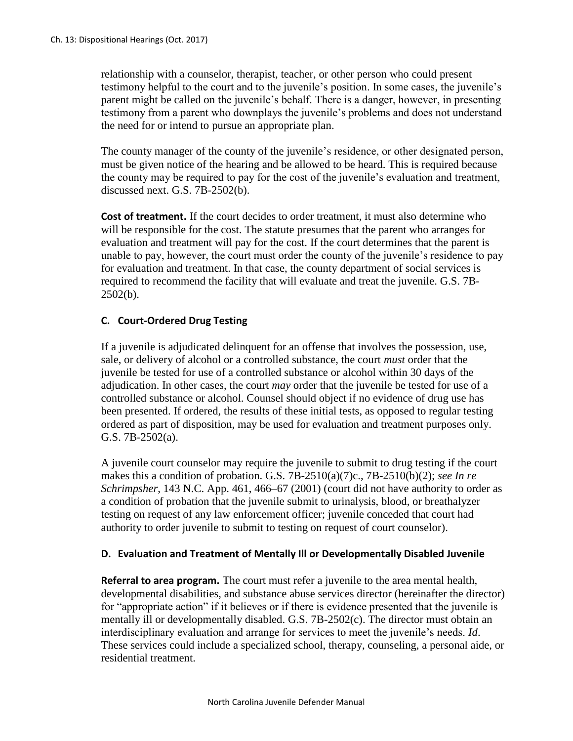relationship with a counselor, therapist, teacher, or other person who could present testimony helpful to the court and to the juvenile's position. In some cases, the juvenile's parent might be called on the juvenile's behalf. There is a danger, however, in presenting testimony from a parent who downplays the juvenile's problems and does not understand the need for or intend to pursue an appropriate plan.

The county manager of the county of the juvenile's residence, or other designated person, must be given notice of the hearing and be allowed to be heard. This is required because the county may be required to pay for the cost of the juvenile's evaluation and treatment, discussed next. G.S. 7B-2502(b).

**Cost of treatment.** If the court decides to order treatment, it must also determine who will be responsible for the cost. The statute presumes that the parent who arranges for evaluation and treatment will pay for the cost. If the court determines that the parent is unable to pay, however, the court must order the county of the juvenile's residence to pay for evaluation and treatment. In that case, the county department of social services is required to recommend the facility that will evaluate and treat the juvenile. G.S. 7B- $2502(b)$ .

# **C. Court-Ordered Drug Testing**

If a juvenile is adjudicated delinquent for an offense that involves the possession, use, sale, or delivery of alcohol or a controlled substance, the court *must* order that the juvenile be tested for use of a controlled substance or alcohol within 30 days of the adjudication. In other cases, the court *may* order that the juvenile be tested for use of a controlled substance or alcohol. Counsel should object if no evidence of drug use has been presented. If ordered, the results of these initial tests, as opposed to regular testing ordered as part of disposition, may be used for evaluation and treatment purposes only. G.S. 7B-2502(a).

A juvenile court counselor may require the juvenile to submit to drug testing if the court makes this a condition of probation. G.S. 7B-2510(a)(7)c., 7B-2510(b)(2); *see In re Schrimpsher*, 143 N.C. App. 461, 466–67 (2001) (court did not have authority to order as a condition of probation that the juvenile submit to urinalysis, blood, or breathalyzer testing on request of any law enforcement officer; juvenile conceded that court had authority to order juvenile to submit to testing on request of court counselor).

## **D. Evaluation and Treatment of Mentally Ill or Developmentally Disabled Juvenile**

**Referral to area program.** The court must refer a juvenile to the area mental health, developmental disabilities, and substance abuse services director (hereinafter the director) for "appropriate action" if it believes or if there is evidence presented that the juvenile is mentally ill or developmentally disabled. G.S. 7B-2502(c). The director must obtain an interdisciplinary evaluation and arrange for services to meet the juvenile's needs. *Id*. These services could include a specialized school, therapy, counseling, a personal aide, or residential treatment.